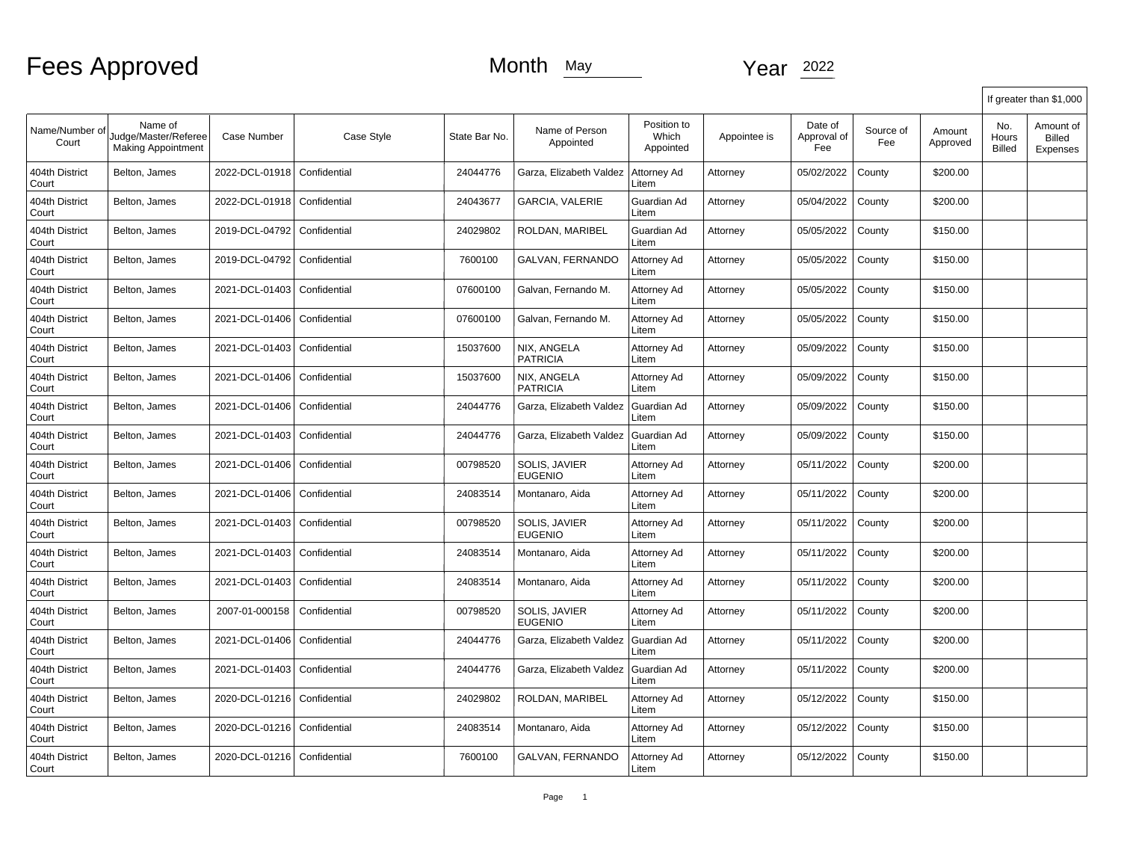|                         |                                                              |                               |              |               |                                 |                                   |              |                               |                  |                    |                        | If greater than \$1,000                |
|-------------------------|--------------------------------------------------------------|-------------------------------|--------------|---------------|---------------------------------|-----------------------------------|--------------|-------------------------------|------------------|--------------------|------------------------|----------------------------------------|
| Name/Number of<br>Court | Name of<br>Judge/Master/Referee<br><b>Making Appointment</b> | <b>Case Number</b>            | Case Style   | State Bar No. | Name of Person<br>Appointed     | Position to<br>Which<br>Appointed | Appointee is | Date of<br>Approval of<br>Fee | Source of<br>Fee | Amount<br>Approved | No.<br>Hours<br>Billed | Amount of<br><b>Billed</b><br>Expenses |
| 404th District<br>Court | Belton, James                                                | 2022-DCL-01918                | Confidential | 24044776      | Garza, Elizabeth Valdez         | Attorney Ad<br>Litem              | Attorney     | 05/02/2022                    | County           | \$200.00           |                        |                                        |
| 404th District<br>Court | Belton, James                                                | 2022-DCL-01918                | Confidential | 24043677      | GARCIA, VALERIE                 | Guardian Ad<br>Litem              | Attorney     | 05/04/2022                    | County           | \$200.00           |                        |                                        |
| 404th District<br>Court | Belton, James                                                | 2019-DCL-04792                | Confidential | 24029802      | ROLDAN, MARIBEL                 | Guardian Ad<br>Litem              | Attorney     | 05/05/2022                    | County           | \$150.00           |                        |                                        |
| 404th District<br>Court | Belton, James                                                | 2019-DCL-04792                | Confidential | 7600100       | GALVAN, FERNANDO                | Attorney Ad<br>Litem              | Attorney     | 05/05/2022                    | County           | \$150.00           |                        |                                        |
| 404th District<br>Court | Belton, James                                                | 2021-DCL-01403                | Confidential | 07600100      | Galvan, Fernando M.             | Attorney Ad<br>Litem              | Attorney     | 05/05/2022                    | County           | \$150.00           |                        |                                        |
| 404th District<br>Court | Belton, James                                                | 2021-DCL-01406                | Confidential | 07600100      | Galvan, Fernando M.             | Attorney Ad<br>Litem              | Attorney     | 05/05/2022                    | County           | \$150.00           |                        |                                        |
| 404th District<br>Court | Belton, James                                                | 2021-DCL-01403                | Confidential | 15037600      | NIX, ANGELA<br><b>PATRICIA</b>  | Attorney Ad<br>Litem              | Attorney     | 05/09/2022                    | County           | \$150.00           |                        |                                        |
| 404th District<br>Court | Belton, James                                                | 2021-DCL-01406                | Confidential | 15037600      | NIX, ANGELA<br><b>PATRICIA</b>  | Attorney Ad<br>Litem              | Attorney     | 05/09/2022                    | County           | \$150.00           |                        |                                        |
| 404th District<br>Court | Belton, James                                                | 2021-DCL-01406                | Confidential | 24044776      | Garza, Elizabeth Valdez         | Guardian Ad<br>Litem              | Attorney     | 05/09/2022                    | County           | \$150.00           |                        |                                        |
| 404th District<br>Court | Belton, James                                                | 2021-DCL-01403                | Confidential | 24044776      | Garza, Elizabeth Valdez         | Guardian Ad<br>Litem              | Attorney     | 05/09/2022                    | County           | \$150.00           |                        |                                        |
| 404th District<br>Court | Belton, James                                                | 2021-DCL-01406                | Confidential | 00798520      | SOLIS, JAVIER<br><b>EUGENIO</b> | Attorney Ad<br>Litem              | Attorney     | 05/11/2022                    | County           | \$200.00           |                        |                                        |
| 404th District<br>Court | Belton, James                                                | 2021-DCL-01406                | Confidential | 24083514      | Montanaro, Aida                 | Attorney Ad<br>Litem              | Attorney     | 05/11/2022                    | County           | \$200.00           |                        |                                        |
| 404th District<br>Court | Belton, James                                                | 2021-DCL-01403                | Confidential | 00798520      | SOLIS, JAVIER<br><b>EUGENIO</b> | Attorney Ad<br>Litem              | Attorney     | 05/11/2022                    | County           | \$200.00           |                        |                                        |
| 404th District<br>Court | Belton, James                                                | 2021-DCL-01403                | Confidential | 24083514      | Montanaro, Aida                 | Attorney Ad<br>Litem              | Attorney     | 05/11/2022                    | County           | \$200.00           |                        |                                        |
| 404th District<br>Court | Belton, James                                                | 2021-DCL-01403                | Confidential | 24083514      | Montanaro, Aida                 | Attorney Ad<br>Litem              | Attorney     | 05/11/2022                    | County           | \$200.00           |                        |                                        |
| 404th District<br>Court | Belton, James                                                | 2007-01-000158                | Confidential | 00798520      | SOLIS, JAVIER<br><b>EUGENIO</b> | Attorney Ad<br>Litem              | Attorney     | 05/11/2022                    | County           | \$200.00           |                        |                                        |
| 404th District<br>Court | Belton, James                                                | 2021-DCL-01406                | Confidential | 24044776      | Garza, Elizabeth Valdez         | Guardian Ad<br>Litem              | Attorney     | 05/11/2022                    | County           | \$200.00           |                        |                                        |
| 404th District<br>Court | Belton, James                                                | 2021-DCL-01403                | Confidential | 24044776      | Garza, Elizabeth Valdez         | Guardian Ad<br>Litem              | Attorney     | 05/11/2022                    | County           | \$200.00           |                        |                                        |
| 404th District<br>Court | Belton, James                                                | 2020-DCL-01216                | Confidential | 24029802      | ROLDAN, MARIBEL                 | Attorney Ad<br>Litem              | Attorney     | 05/12/2022                    | County           | \$150.00           |                        |                                        |
| 404th District<br>Court | Belton, James                                                | 2020-DCL-01216                | Confidential | 24083514      | Montanaro, Aida                 | Attorney Ad<br>Litem              | Attorney     | 05/12/2022                    | County           | \$150.00           |                        |                                        |
| 404th District<br>Court | Belton, James                                                | 2020-DCL-01216   Confidential |              | 7600100       | GALVAN, FERNANDO                | Attorney Ad<br>Litem              | Attorney     | 05/12/2022                    | County           | \$150.00           |                        |                                        |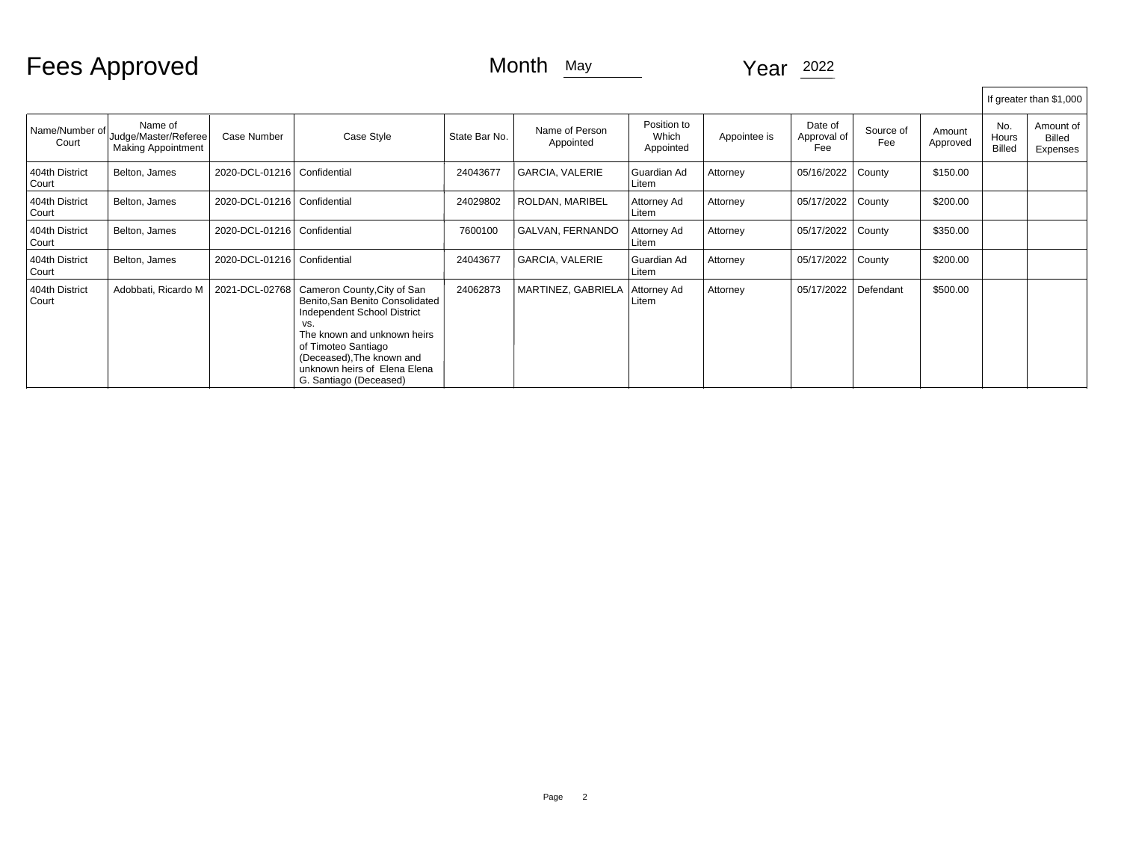## Fees Approved Month May Month May Year 2022

|                         |                                                              |                               |                                                                                                                                                                                                                                                   |               |                             |                                   |              |                               |                  |                    |                               | If greater than \$1,000                |
|-------------------------|--------------------------------------------------------------|-------------------------------|---------------------------------------------------------------------------------------------------------------------------------------------------------------------------------------------------------------------------------------------------|---------------|-----------------------------|-----------------------------------|--------------|-------------------------------|------------------|--------------------|-------------------------------|----------------------------------------|
| Name/Number of<br>Court | Name of<br>Judge/Master/Referee<br><b>Making Appointment</b> | Case Number                   | Case Style                                                                                                                                                                                                                                        | State Bar No. | Name of Person<br>Appointed | Position to<br>Which<br>Appointed | Appointee is | Date of<br>Approval of<br>Fee | Source of<br>Fee | Amount<br>Approved | No.<br>Hours<br><b>Billed</b> | Amount of<br><b>Billed</b><br>Expenses |
| 404th District<br>Court | Belton, James                                                | 2020-DCL-01216   Confidential |                                                                                                                                                                                                                                                   | 24043677      | <b>GARCIA, VALERIE</b>      | Guardian Ad<br>Litem              | Attorney     | 05/16/2022                    | County           | \$150.00           |                               |                                        |
| 404th District<br>Court | Belton, James                                                | 2020-DCL-01216   Confidential |                                                                                                                                                                                                                                                   | 24029802      | ROLDAN, MARIBEL             | Attorney Ad<br>Litem              | Attorney     | 05/17/2022                    | County           | \$200.00           |                               |                                        |
| 404th District<br>Court | Belton, James                                                | 2020-DCL-01216   Confidential |                                                                                                                                                                                                                                                   | 7600100       | GALVAN, FERNANDO            | Attorney Ad<br>Litem              | Attorney     | 05/17/2022                    | County           | \$350.00           |                               |                                        |
| 404th District<br>Court | Belton, James                                                | 2020-DCL-01216   Confidential |                                                                                                                                                                                                                                                   | 24043677      | <b>GARCIA, VALERIE</b>      | Guardian Ad<br>Litem              | Attorney     | 05/17/2022                    | County           | \$200.00           |                               |                                        |
| 404th District<br>Court | Adobbati, Ricardo M                                          | 2021-DCL-02768                | Cameron County, City of San<br>Benito, San Benito Consolidated<br>Independent School District<br>VS.<br>The known and unknown heirs<br>of Timoteo Santiago<br>(Deceased), The known and<br>unknown heirs of Elena Elena<br>G. Santiago (Deceased) | 24062873      | MARTINEZ, GABRIELA          | Attorney Ad<br>Litem              | Attorney     | 05/17/2022                    | Defendant        | \$500.00           |                               |                                        |